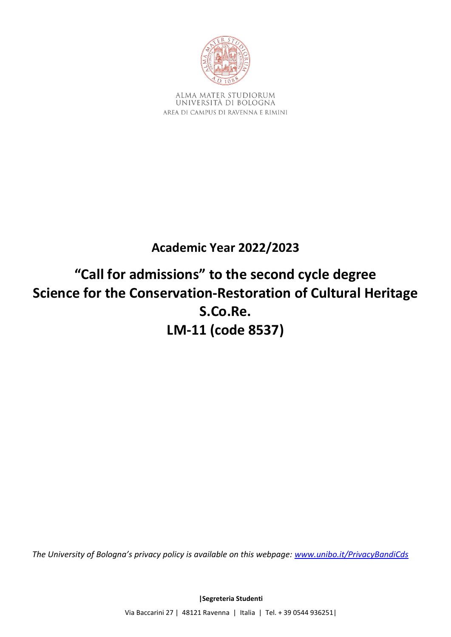

ALMA MATER STUDIORUM UNIVERSITÀ DI BOLOGNA AREA DI CAMPUS DI RAVENNA E RIMINI

## **Academic Year 2022/2023**

# **"Call for admissions" to the second cycle degree Science for the Conservation-Restoration of Cultural Heritage S.Co.Re. LM-11 (code 8537)**

*The University of Bologna's privacy policy is available on this webpage: [www.unibo.it/PrivacyBandiCds](http://www.unibo.it/PrivacyBandiCds)*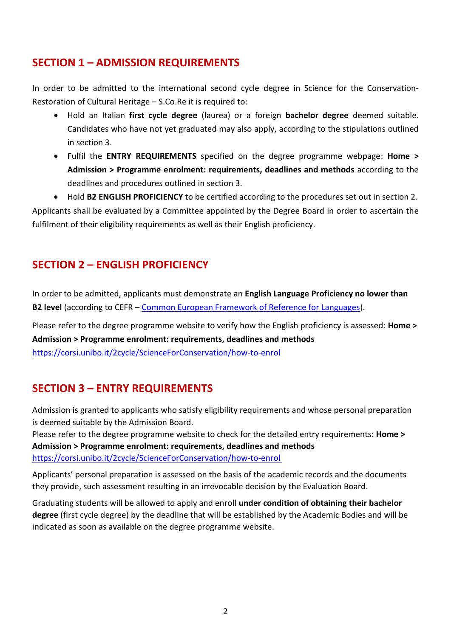### **SECTION 1 – ADMISSION REQUIREMENTS**

In order to be admitted to the international second cycle degree in Science for the Conservation-Restoration of Cultural Heritage – S.Co.Re it is required to:

- Hold an Italian **first cycle degree** (laurea) or a foreign **bachelor degree** deemed suitable. Candidates who have not yet graduated may also apply, according to the stipulations outlined in section 3.
- Fulfil the **ENTRY REQUIREMENTS** specified on the degree programme webpage: **Home > Admission > Programme enrolment: requirements, deadlines and methods** according to the deadlines and procedures outlined in section 3.

• Hold **B2 ENGLISH PROFICIENCY** to be certified according to the procedures set out in section 2. Applicants shall be evaluated by a Committee appointed by the Degree Board in order to ascertain the fulfilment of their eligibility requirements as well as their English proficiency.

### **SECTION 2 – ENGLISH PROFICIENCY**

In order to be admitted, applicants must demonstrate an **English Language Proficiency no lower than B2 level** (according to CEFR – [Common European Framework of Reference for Languages\)](https://europass.cedefop.europa.eu/en/resources/european-language-levels-cefr).

Please refer to the degree programme website to verify how the English proficiency is assessed: **Home > Admission > Programme enrolment: requirements, deadlines and methods** <https://corsi.unibo.it/2cycle/ScienceForConservation/how-to-enrol>

### **SECTION 3 – ENTRY REQUIREMENTS**

Admission is granted to applicants who satisfy eligibility requirements and whose personal preparation is deemed suitable by the Admission Board.

Please refer to the degree programme website to check for the detailed entry requirements: **Home > Admission > Programme enrolment: requirements, deadlines and methods** <https://corsi.unibo.it/2cycle/ScienceForConservation/how-to-enrol>

Applicants' personal preparation is assessed on the basis of the academic records and the documents they provide, such assessment resulting in an irrevocable decision by the Evaluation Board.

Graduating students will be allowed to apply and enroll **under condition of obtaining their bachelor degree** (first cycle degree) by the deadline that will be established by the Academic Bodies and will be indicated as soon as available on the degree programme website.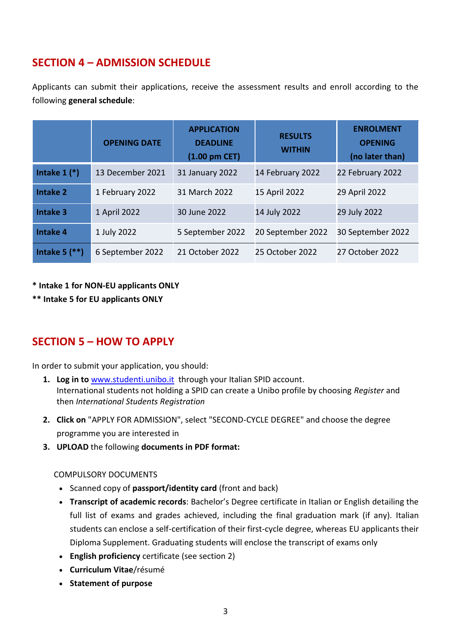### **SECTION 4 – ADMISSION SCHEDULE**

Applicants can submit their applications, receive the assessment results and enroll according to the following **general schedule**:

|                   | <b>OPENING DATE</b> | <b>APPLICATION</b><br><b>DEADLINE</b><br>$(1.00 \text{ pm }$ CET $)$ | <b>RESULTS</b><br><b>WITHIN</b> | <b>ENROLMENT</b><br><b>OPENING</b><br>(no later than) |
|-------------------|---------------------|----------------------------------------------------------------------|---------------------------------|-------------------------------------------------------|
| Intake $1$ $(*)$  | 13 December 2021    | 31 January 2022                                                      | 14 February 2022                | 22 February 2022                                      |
| <b>Intake 2</b>   | 1 February 2022     | 31 March 2022                                                        | 15 April 2022                   | 29 April 2022                                         |
| <b>Intake 3</b>   | 1 April 2022        | 30 June 2022                                                         | 14 July 2022                    | 29 July 2022                                          |
| <b>Intake 4</b>   | 1 July 2022         | 5 September 2022                                                     | 20 September 2022               | 30 September 2022                                     |
| Intake $5$ $(**)$ | 6 September 2022    | 21 October 2022                                                      | 25 October 2022                 | 27 October 2022                                       |

#### **\* Intake 1 for NON-EU applicants ONLY**

#### **\*\* Intake 5 for EU applicants ONLY**

### **SECTION 5 – HOW TO APPLY**

In order to submit your application, you should:

- **1. Log in to** www.studenti.unibo.it through your Italian SPID account. International students not holding a SPID can create a Unibo profile by choosing *Register* and then *International Students Registration*
- **2. Click on** "APPLY FOR ADMISSION", select "SECOND-CYCLE DEGREE" and choose the degree programme you are interested in
- **3. UPLOAD** the following **documents in PDF format:**

#### COMPULSORY DOCUMENTS

- Scanned copy of **passport/identity card** (front and back)
- **Transcript of academic records**: Bachelor's Degree certificate in Italian or English detailing the full list of exams and grades achieved, including the final graduation mark (if any). Italian students can enclose a self-certification of their first-cycle degree, whereas EU applicants their Diploma Supplement. Graduating students will enclose the transcript of exams only
- **English proficiency** certificate (see section 2)
- **Curriculum Vitae**/résumé
- **Statement of purpose**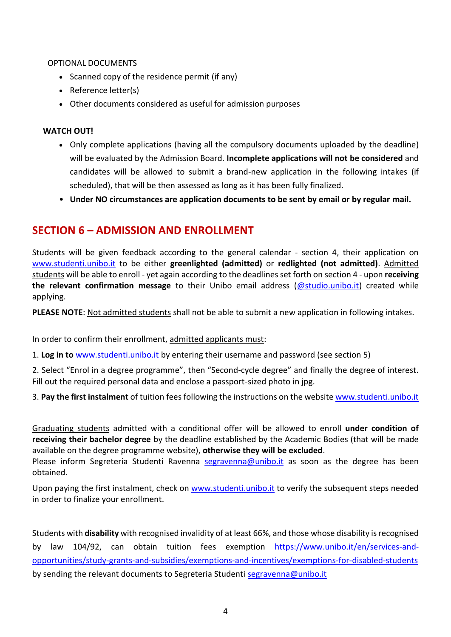#### OPTIONAL DOCUMENTS

- Scanned copy of the residence permit (if any)
- Reference letter(s)
- Other documents considered as useful for admission purposes

#### **WATCH OUT!**

- Only complete applications (having all the compulsory documents uploaded by the deadline) will be evaluated by the Admission Board. **Incomplete applications will not be considered** and candidates will be allowed to submit a brand-new application in the following intakes (if scheduled), that will be then assessed as long as it has been fully finalized.
- **Under NO circumstances are application documents to be sent by email or by regular mail.**

### **SECTION 6 – ADMISSION AND ENROLLMENT**

Students will be given feedback according to the general calendar - section 4, their application on [www.studenti.unibo.it](http://www.studenti.unibo.it/) to be either **greenlighted (admitted)** or **redlighted (not admitted)**. Admitted students will be able to enroll - yet again according to the deadlines set forth on section 4 - upon **receiving the relevant confirmation message** to their Unibo email address [\(@studio.unibo.it\)](mailto:name.surname@studio.unibo.it) created while applying.

**PLEASE NOTE**: Not admitted students shall not be able to submit a new application in following intakes.

In order to confirm their enrollment, admitted applicants must:

1. **Log in to** [www.studenti.unibo.it](http://www.studenti.unibo.it/) by entering their username and password (see section 5)

2. Select "Enrol in a degree programme", then "Second-cycle degree" and finally the degree of interest. Fill out the required personal data and enclose a passport-sized photo in jpg.

3. **Pay the first instalment** of tuition fees following the instructions on the websit[e www.studenti.unibo.it](http://www.studenti.unibo.it/)

Graduating students admitted with a conditional offer will be allowed to enroll **under condition of receiving their bachelor degree** by the deadline established by the Academic Bodies (that will be made available on the degree programme website), **otherwise they will be excluded**.

Please inform Segreteria Studenti Ravenna [segravenna@unibo.it](mailto:segravenna@unibo.it) as soon as the degree has been obtained.

Upon paying the first instalment, check on [www.studenti.unibo.it](http://www.studenti.unibo.it/) to verify the subsequent steps needed in order to finalize your enrollment.

Students with **disability** with recognised invalidity of at least 66%, and those whose disability is recognised by law 104/92, can obtain tuition fees exemption [https://www.unibo.it/en/services-and](https://www.unibo.it/en/services-and-opportunities/study-grants-and-subsidies/exemptions-and-incentives/exemptions-for-disabled-students)[opportunities/study-grants-and-subsidies/exemptions-and-incentives/exemptions-for-disabled-students](https://www.unibo.it/en/services-and-opportunities/study-grants-and-subsidies/exemptions-and-incentives/exemptions-for-disabled-students) by sending the relevant documents to Segreteria Studenti [segravenna@unibo.it](mailto:segravenna@unibo.it)